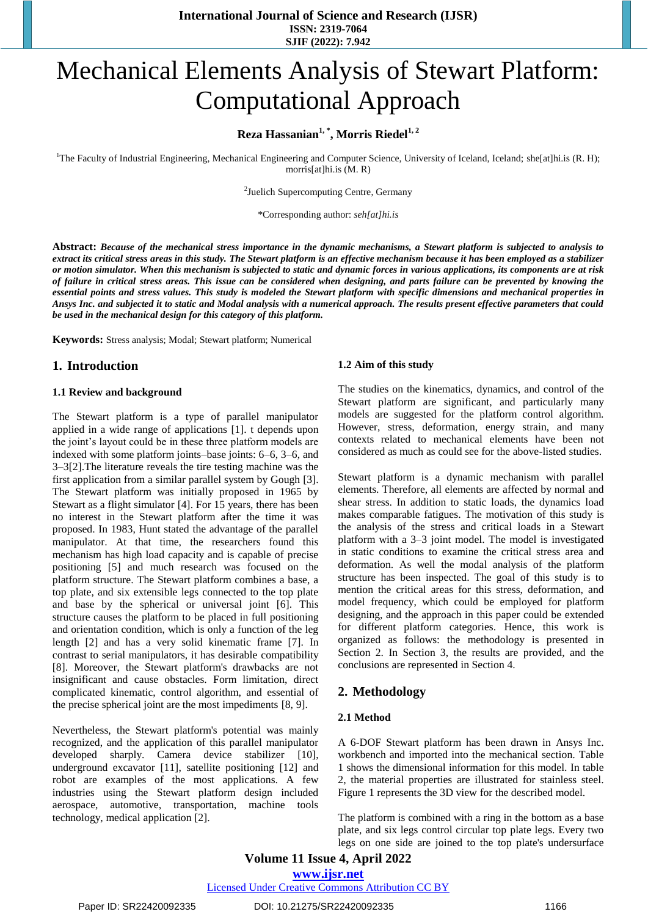# Mechanical Elements Analysis of Stewart Platform: Computational Approach

# **1, \* 1, <sup>2</sup> Reza Hassanian , Morris Riedel**

<sup>1</sup>The Faculty of Industrial Engineering, Mechanical Engineering and Computer Science, University of Iceland, Iceland; [she\[at\]hi.is](mailto:seh@hi.is) (R. H); [morris\[at\]hi.is](mailto:morris@hi.is) (M. R)

2 Juelich Supercomputing Centre, Germany

\*Corresponding author: *[seh\[at\]hi.is](mailto:seh@hi.is)*

**Abstract:** *Because of the mechanical stress importance in the dynamic mechanisms, a Stewart platform is subjected to analysis to extract its critical stress areas in this study. The Stewart platform is an effective mechanism because it has been employed as a stabilizer or motion simulator. When this mechanism is subjected to static and dynamic forces in various applications, its components are at risk of failure in critical stress areas. This issue can be considered when designing, and parts failure can be prevented by knowing the essential points and stress values. This study is modeled the Stewart platform with specific dimensions and mechanical properties in Ansys Inc. and subjected it to static and Modal analysis with a numerical approach. The results present effective parameters that could be used in the mechanical design for this category of this platform.*

**Keywords:** Stress analysis; Modal; Stewart platform; Numerical

## **1. Introduction**

#### **1.1 Review and background**

The Stewart platform is a type of parallel manipulator applied in a wide range of applications [1]. t depends upon the joint's layout could be in these three platform models are indexed with some platform joints–base joints: 6–6, 3–6, and 3–3[2].The literature reveals the tire testing machine was the first application from a similar parallel system by Gough [3]. The Stewart platform was initially proposed in 1965 by Stewart as a flight simulator [4]. For 15 years, there has been no interest in the Stewart platform after the time it was proposed. In 1983, Hunt stated the advantage of the parallel manipulator. At that time, the researchers found this mechanism has high load capacity and is capable of precise positioning [5] and much research was focused on the platform structure. The Stewart platform combines a base, a top plate, and six extensible legs connected to the top plate and base by the spherical or universal joint [6]. This structure causes the platform to be placed in full positioning and orientation condition, which is only a function of the leg length [2] and has a very solid kinematic frame [7]. In contrast to serial manipulators, it has desirable compatibility [8]. Moreover, the Stewart platform's drawbacks are not insignificant and cause obstacles. Form limitation, direct complicated kinematic, control algorithm, and essential of the precise spherical joint are the most impediments [8, 9].

Nevertheless, the Stewart platform's potential was mainly recognized, and the application of this parallel manipulator developed sharply. Camera device stabilizer [10], underground excavator [11], satellite positioning [12] and robot are examples of the most applications. A few industries using the Stewart platform design included aerospace, automotive, transportation, machine tools technology, medical application [2].

#### **1.2 Aim of this study**

The studies on the kinematics, dynamics, and control of the Stewart platform are significant, and particularly many models are suggested for the platform control algorithm. However, stress, deformation, energy strain, and many contexts related to mechanical elements have been not considered as much as could see for the above-listed studies.

Stewart platform is a dynamic mechanism with parallel elements. Therefore, all elements are affected by normal and shear stress. In addition to static loads, the dynamics load makes comparable fatigues. The motivation of this study is the analysis of the stress and critical loads in a Stewart platform with a 3–3 joint model. The model is investigated in static conditions to examine the critical stress area and deformation. As well the modal analysis of the platform structure has been inspected. The goal of this study is to mention the critical areas for this stress, deformation, and model frequency, which could be employed for platform designing, and the approach in this paper could be extended for different platform categories. Hence, this work is organized as follows: the methodology is presented in Section 2. In Section 3, the results are provided, and the conclusions are represented in Section 4.

#### **2. Methodology**

#### **2.1 Method**

A 6-DOF Stewart platform has been drawn in Ansys Inc. workbench and imported into the mechanical section. Table 1 shows the dimensional information for this model. In table 2, the material properties are illustrated for stainless steel. Figure 1 represents the 3D view for the described model.

The platform is combined with a ring in the bottom as a base plate, and six legs control circular top plate legs. Every two legs on one side are joined to the top plate's undersurface

**Volume 11 Issue 4, April 2022 www.ijsr.net**

Licensed Under Creative Commons Attribution CC BY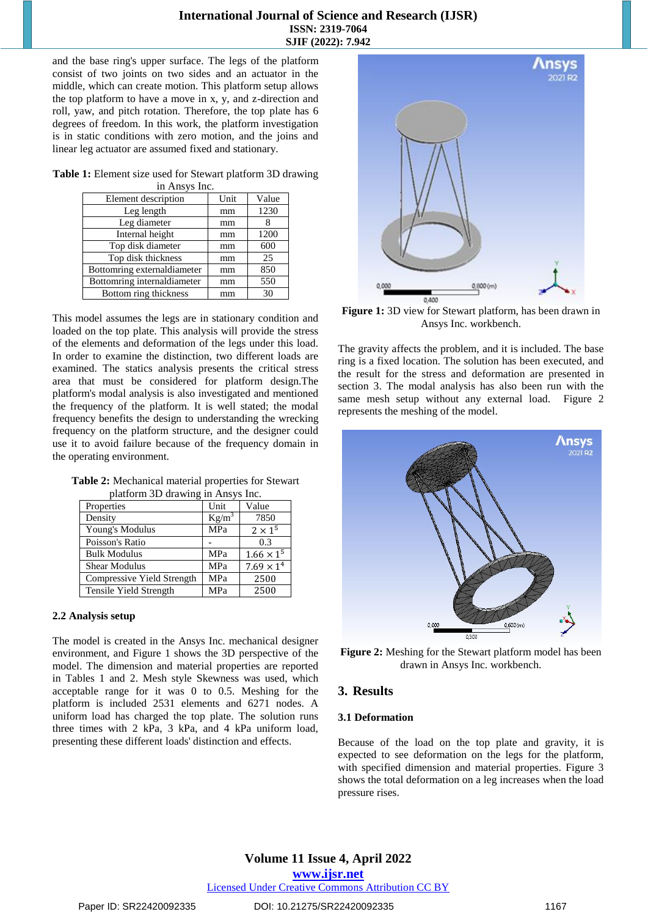and the base ring's upper surface. The legs of the platform consist of two joints on two sides and an actuator in the middle, which can create motion. This platform setup allows the top platform to have a move in x, y, and z-direction and roll, yaw, and pitch rotation. Therefore, the top plate has 6 degrees of freedom. In this work, the platform investigation is in static conditions with zero motion, and the joins and linear leg actuator are assumed fixed and stationary.

| Table 1: Element size used for Stewart platform 3D drawing |  |
|------------------------------------------------------------|--|
| in Ansys Inc.                                              |  |

| Element description         | Unit | Value |
|-----------------------------|------|-------|
| Leg length                  | mm   | 1230  |
| Leg diameter                | mm   |       |
| Internal height             | mm   | 1200  |
| Top disk diameter           | mm   | 600   |
| Top disk thickness          | mm   | 25    |
| Bottomring externaldiameter | mm   | 850   |
| Bottomring internaldiameter | mm   | 550   |
| Bottom ring thickness       | mm   | 30    |

This model assumes the legs are in stationary condition and loaded on the top plate. This analysis will provide the stress of the elements and deformation of the legs under this load. In order to examine the distinction, two different loads are examined. The statics analysis presents the critical stress area that must be considered for platform design.The platform's modal analysis is also investigated and mentioned the frequency of the platform. It is well stated; the modal frequency benefits the design to understanding the wrecking frequency on the platform structure, and the designer could use it to avoid failure because of the frequency domain in the operating environment.

| <b>Table 2:</b> Mechanical material properties for Stewart |  |
|------------------------------------------------------------|--|
| platform 3D drawing in Ansys Inc.                          |  |

| Properties                 | Unit       | Value               |
|----------------------------|------------|---------------------|
| Density                    | $Kg/m^3$   | 7850                |
| Young's Modulus            | MPa        | $2 \times 1^5$      |
| Poisson's Ratio            |            | 0.3                 |
| <b>Bulk Modulus</b>        | <b>MPa</b> | $1.66 \times 1^{5}$ |
| <b>Shear Modulus</b>       | MPa        | $7.69 \times 14$    |
| Compressive Yield Strength | MPa        | 2500                |
| Tensile Yield Strength     | MPa        | 2500                |

#### **2.2 Analysis setup**

The model is created in the Ansys Inc. mechanical designer environment, and Figure 1 shows the 3D perspective of the model. The dimension and material properties are reported in Tables 1 and 2. Mesh style Skewness was used, which acceptable range for it was 0 to 0.5. Meshing for the platform is included 2531 elements and 6271 nodes. A uniform load has charged the top plate. The solution runs three times with 2 kPa, 3 kPa, and 4 kPa uniform load, presenting these different loads' distinction and effects.



**Figure 1:** 3D view for Stewart platform, has been drawn in Ansys Inc. workbench.

The gravity affects the problem, and it is included. The base ring is a fixed location. The solution has been executed, and the result for the stress and deformation are presented in section 3. The modal analysis has also been run with the same mesh setup without any external load. Figure 2 represents the meshing of the model.



**Figure 2:** Meshing for the Stewart platform model has been drawn in Ansys Inc. workbench.

# **3. Results**

#### **3.1 Deformation**

Because of the load on the top plate and gravity, it is expected to see deformation on the legs for the platform, with specified dimension and material properties. Figure 3 shows the total deformation on a leg increases when the load pressure rises.

#### Paper ID: SR22420092335 DOI: 10.21275/SR22420092335 1167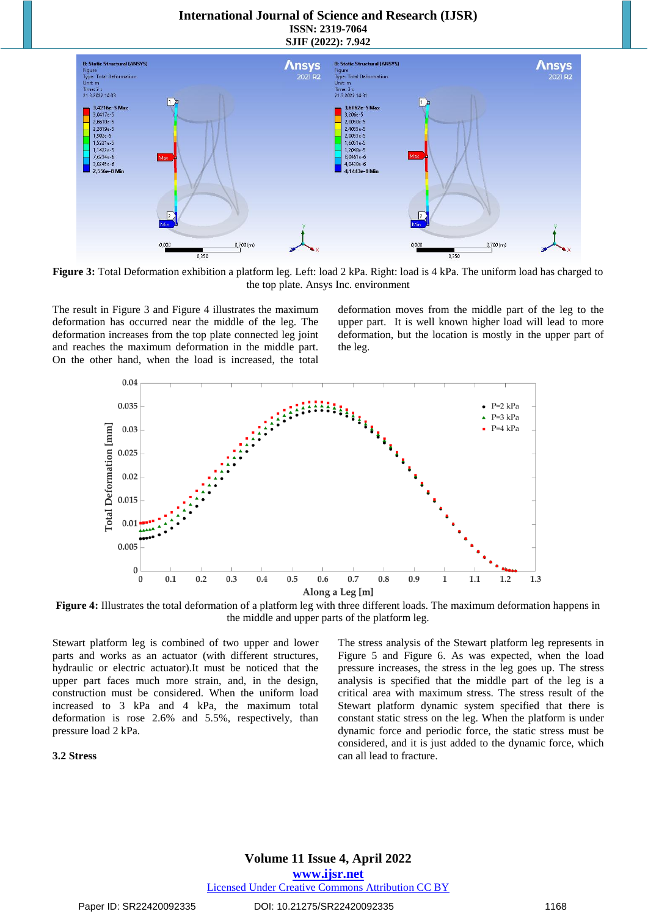

**Figure 3:** Total Deformation exhibition a platform leg. Left: load 2 kPa. Right: load is 4 kPa. The uniform load has charged to the top plate. Ansys Inc. environment

The result in Figure 3 and Figure 4 illustrates the maximum deformation has occurred near the middle of the leg. The deformation increases from the top plate connected leg joint and reaches the maximum deformation in the middle part. On the other hand, when the load is increased, the total

deformation moves from the middle part of the leg to the upper part. It is well known higher load will lead to more deformation, but the location is mostly in the upper part of the leg.





Stewart platform leg is combined of two upper and lower parts and works as an actuator (with different structures, hydraulic or electric actuator).It must be noticed that the upper part faces much more strain, and, in the design, construction must be considered. When the uniform load increased to 3 kPa and 4 kPa, the maximum total deformation is rose 2.6% and 5.5%, respectively, than pressure load 2 kPa.

#### **3.2 Stress**

The stress analysis of the Stewart platform leg represents in Figure 5 and Figure 6. As was expected, when the load pressure increases, the stress in the leg goes up. The stress analysis is specified that the middle part of the leg is a critical area with maximum stress. The stress result of the Stewart platform dynamic system specified that there is constant static stress on the leg. When the platform is under dynamic force and periodic force, the static stress must be considered, and it is just added to the dynamic force, which can all lead to fracture.

#### **Volume 11 Issue 4, April 2022 www.ijsr.net** Licensed Under Creative Commons Attribution CC BY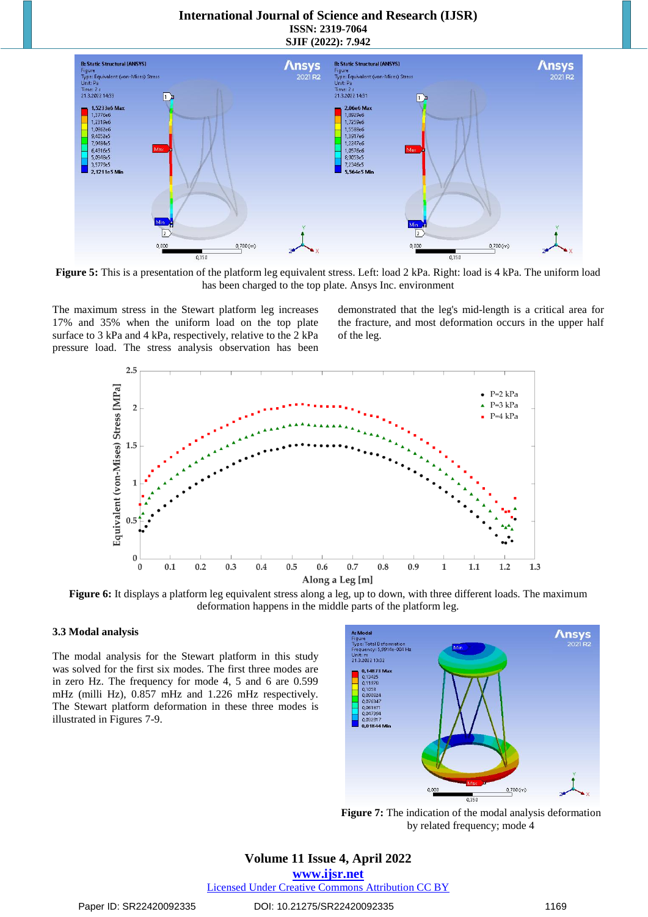

**Figure 5:** This is a presentation of the platform leg equivalent stress. Left: load 2 kPa. Right: load is 4 kPa. The uniform load has been charged to the top plate. Ansys Inc. environment

The maximum stress in the Stewart platform leg increases 17% and 35% when the uniform load on the top plate surface to 3 kPa and 4 kPa, respectively, relative to the 2 kPa pressure load. The stress analysis observation has been

demonstrated that the leg's mid-length is a critical area for the fracture, and most deformation occurs in the upper half of the leg.



**Figure 6:** It displays a platform leg equivalent stress along a leg, up to down, with three different loads. The maximum deformation happens in the middle parts of the platform leg.

#### **3.3 Modal analysis**

The modal analysis for the Stewart platform in this study was solved for the first six modes. The first three modes are in zero Hz. The frequency for mode 4, 5 and 6 are 0.599 mHz (milli Hz), 0.857 mHz and 1.226 mHz respectively. The Stewart platform deformation in these three modes is illustrated in Figures 7-9.



**Figure 7:** The indication of the modal analysis deformation by related frequency; mode 4

# **Volume 11 Issue 4, April 2022**

**www.ijsr.net**

Licensed Under Creative Commons Attribution CC BY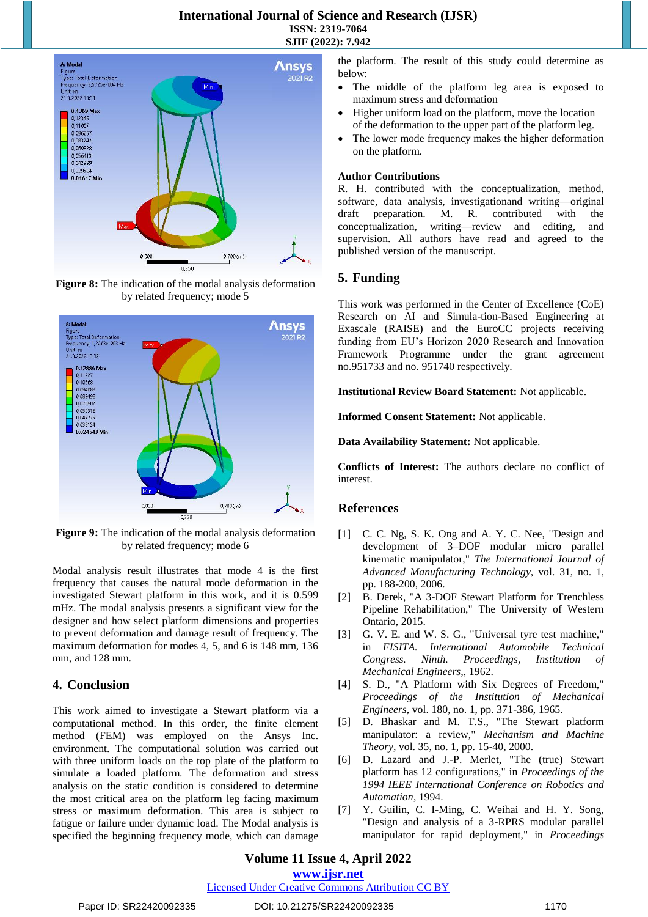

**Figure 8:** The indication of the modal analysis deformation by related frequency; mode 5



**Figure 9:** The indication of the modal analysis deformation by related frequency; mode 6

Modal analysis result illustrates that mode 4 is the first frequency that causes the natural mode deformation in the investigated Stewart platform in this work, and it is 0.599 mHz. The modal analysis presents a significant view for the designer and how select platform dimensions and properties to prevent deformation and damage result of frequency. The maximum deformation for modes 4, 5, and 6 is 148 mm, 136 mm, and 128 mm.

# **4. Conclusion**

This work aimed to investigate a Stewart platform via a computational method. In this order, the finite element method (FEM) was employed on the Ansys Inc. environment. The computational solution was carried out with three uniform loads on the top plate of the platform to simulate a loaded platform. The deformation and stress analysis on the static condition is considered to determine the most critical area on the platform leg facing maximum stress or maximum deformation. This area is subject to fatigue or failure under dynamic load. The Modal analysis is specified the beginning frequency mode, which can damage the platform. The result of this study could determine as below:

- The middle of the platform leg area is exposed to maximum stress and deformation
- Higher uniform load on the platform, move the location of the deformation to the upper part of the platform leg.
- The lower mode frequency makes the higher deformation on the platform.

#### **Author Contributions**

R. H. contributed with the conceptualization, method, software, data analysis, investigationand writing—original draft preparation. M. R. contributed with the conceptualization, writing—review and editing, and supervision. All authors have read and agreed to the published version of the manuscript.

# **5. Funding**

This work was performed in the Center of Excellence (CoE) Research on AI and Simula-tion-Based Engineering at Exascale (RAISE) and the EuroCC projects receiving funding from EU's Horizon 2020 Research and Innovation Framework Programme under the grant agreement no.951733 and no. 951740 respectively.

**Institutional Review Board Statement:** Not applicable.

**Informed Consent Statement:** Not applicable.

**Data Availability Statement:** Not applicable.

**Conflicts of Interest:** The authors declare no conflict of interest.

# **References**

- [1] C. C. Ng, S. K. Ong and A. Y. C. Nee, "Design and development of 3–DOF modular micro parallel kinematic manipulator," *The International Journal of Advanced Manufacturing Technology,* vol. 31, no. 1, pp. 188-200, 2006.
- [2] B. Derek, "A 3-DOF Stewart Platform for Trenchless Pipeline Rehabilitation," The University of Western Ontario, 2015.
- [3] G. V. E. and W. S. G., "Universal tyre test machine," in *FISITA. International Automobile Technical Congress. Ninth. Proceedings, Institution of Mechanical Engineers,*, 1962.
- [4] S. D., "A Platform with Six Degrees of Freedom," *Proceedings of the Institution of Mechanical Engineers,* vol. 180, no. 1, pp. 371-386, 1965.
- [5] D. Bhaskar and M. T.S., "The Stewart platform manipulator: a review," *Mechanism and Machine Theory,* vol. 35, no. 1, pp. 15-40, 2000.
- [6] D. Lazard and J.-P. Merlet, "The (true) Stewart platform has 12 configurations," in *Proceedings of the 1994 IEEE International Conference on Robotics and Automation*, 1994.
- [7] Y. Guilin, C. I-Ming, C. Weihai and H. Y. Song, "Design and analysis of a 3-RPRS modular parallel manipulator for rapid deployment," in *Proceedings*

# **Volume 11 Issue 4, April 2022**

#### **www.ijsr.net**

Licensed Under Creative Commons Attribution CC BY